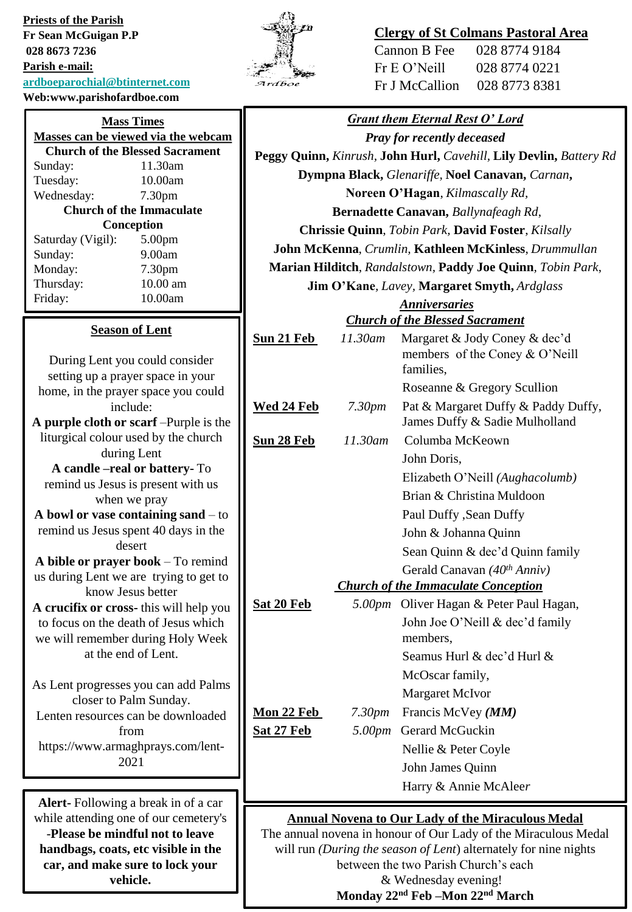**Priests of the Parish Fr Sean McGuigan P.P 028 8673 7236 Parish e-mail: [ardboeparochial@btinternet.com](mailto:ardboeparochial@btinternet.com) Web:www.parishofardboe.com**

**handbags, coats, etc visible in the car, and make sure to lock your vehicle.**

|              | 'n |
|--------------|----|
| ſĥ<br>⊱<br>z |    |

# **Clergy of St Colmans Pastoral Area**

| Cannon B Fee   | 028 8774 9184 |
|----------------|---------------|
| Fr E O'Neill   | 028 8774 0221 |
| Fr J McCallion | 028 8773 8381 |

| <b>Mass Times</b>                                        | <b>Grant them Eternal Rest O' Lord</b>                          |                                                                    |                                                                 |
|----------------------------------------------------------|-----------------------------------------------------------------|--------------------------------------------------------------------|-----------------------------------------------------------------|
| Masses can be viewed via the webcam                      |                                                                 |                                                                    | <b>Pray for recently deceased</b>                               |
| <b>Church of the Blessed Sacrament</b>                   |                                                                 | Peggy Quinn, Kinrush, John Hurl, Cavehill, Lily Devlin, Battery Rd |                                                                 |
| 11.30am<br>Sunday:                                       | Dympna Black, Glenariffe, Noel Canavan, Carnan,                 |                                                                    |                                                                 |
| 10.00am<br>Tuesday:<br>7.30pm<br>Wednesday:              |                                                                 |                                                                    | Noreen O'Hagan, Kilmascally Rd,                                 |
| <b>Church of the Immaculate</b>                          |                                                                 |                                                                    | Bernadette Canavan, Ballynafeagh Rd,                            |
| Conception                                               |                                                                 |                                                                    | Chrissie Quinn, Tobin Park, David Foster, Kilsally              |
| Saturday (Vigil):<br>5.00pm                              |                                                                 |                                                                    |                                                                 |
| 9.00am<br>Sunday:                                        | John McKenna, Crumlin, Kathleen McKinless, Drummullan           |                                                                    |                                                                 |
| Monday:<br>7.30pm<br>Thursday:<br>10.00 am               | Marian Hilditch, Randalstown, Paddy Joe Quinn, Tobin Park,      |                                                                    |                                                                 |
| 10.00am<br>Friday:                                       |                                                                 |                                                                    | Jim O'Kane, Lavey, Margaret Smyth, Ardglass                     |
|                                                          |                                                                 |                                                                    | <b>Anniversaries</b><br><b>Church of the Blessed Sacrament</b>  |
| <b>Season of Lent</b>                                    |                                                                 |                                                                    |                                                                 |
|                                                          | Sun 21 Feb                                                      | 11.30am                                                            | Margaret & Jody Coney & dec'd<br>members of the Coney & O'Neill |
| During Lent you could consider                           |                                                                 |                                                                    | families,                                                       |
| setting up a prayer space in your                        |                                                                 |                                                                    | Roseanne & Gregory Scullion                                     |
| home, in the prayer space you could<br>include:          | Wed 24 Feb                                                      | 7.30pm                                                             | Pat & Margaret Duffy & Paddy Duffy,                             |
| A purple cloth or scarf - Purple is the                  |                                                                 |                                                                    | James Duffy & Sadie Mulholland                                  |
| liturgical colour used by the church                     | Sun 28 Feb                                                      | 11.30am                                                            | Columba McKeown                                                 |
| during Lent                                              |                                                                 |                                                                    | John Doris,                                                     |
| A candle -real or battery- To                            |                                                                 |                                                                    |                                                                 |
| remind us Jesus is present with us                       |                                                                 |                                                                    | Elizabeth O'Neill (Aughacolumb)                                 |
| when we pray                                             |                                                                 |                                                                    | Brian & Christina Muldoon                                       |
| A bowl or vase containing sand $-$ to                    | Paul Duffy , Sean Duffy                                         |                                                                    |                                                                 |
| remind us Jesus spent 40 days in the<br>desert           | John & Johanna Quinn                                            |                                                                    |                                                                 |
| A bible or prayer book - To remind                       |                                                                 |                                                                    | Sean Quinn & dec'd Quinn family                                 |
| us during Lent we are trying to get to                   |                                                                 |                                                                    | Gerald Canavan (40 <sup>th</sup> Anniv)                         |
| know Jesus better                                        |                                                                 |                                                                    | <b>Church of the Immaculate Conception</b>                      |
| A crucifix or cross-this will help you                   | Sat 20 Feb                                                      |                                                                    | 5.00pm Oliver Hagan & Peter Paul Hagan,                         |
| to focus on the death of Jesus which                     |                                                                 |                                                                    | John Joe O'Neill & dec'd family                                 |
| we will remember during Holy Week<br>at the end of Lent. |                                                                 |                                                                    | members,                                                        |
|                                                          |                                                                 |                                                                    | Seamus Hurl & dec'd Hurl &                                      |
| As Lent progresses you can add Palms                     |                                                                 |                                                                    | McOscar family,                                                 |
| closer to Palm Sunday.                                   |                                                                 |                                                                    | Margaret McIvor                                                 |
| Lenten resources can be downloaded                       | Mon 22 Feb                                                      | 7.30pm                                                             | Francis McVey (MM)                                              |
| from                                                     | Sat 27 Feb                                                      | 5.00pm                                                             | Gerard McGuckin                                                 |
| https://www.armaghprays.com/lent-                        |                                                                 |                                                                    | Nellie & Peter Coyle                                            |
| 2021                                                     |                                                                 |                                                                    | John James Quinn                                                |
|                                                          |                                                                 |                                                                    | Harry & Annie McAleer                                           |
| Alert-Following a break in of a car                      |                                                                 |                                                                    |                                                                 |
| while attending one of our cemetery's                    | <b>Annual Novena to Our Lady of the Miraculous Medal</b>        |                                                                    |                                                                 |
| -Please be mindful not to leave                          | The annual novena in honour of Our Lady of the Miraculous Medal |                                                                    |                                                                 |

The annual novena in honour of Our Lady of the Miraculous Medal will run *(During the season of Lent*) alternately for nine nights between the two Parish Church's each & Wednesday evening! **Monday 22nd Feb –Mon 22nd March**